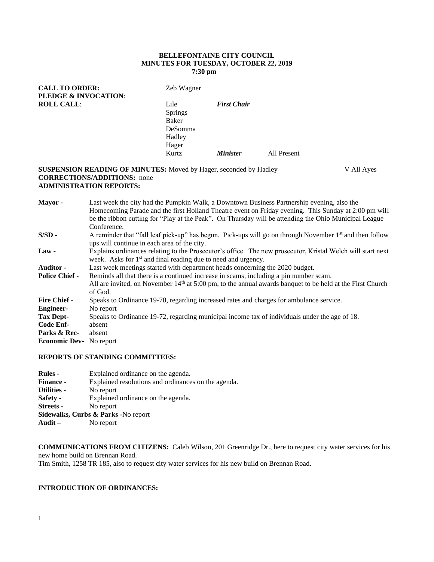### **BELLEFONTAINE CITY COUNCIL MINUTES FOR TUESDAY, OCTOBER 22, 2019 7:30 pm**

| <b>CALL TO ORDER:</b><br><b>PLEDGE &amp; INVOCATION:</b> | Zeb Wagner                                                    |                        |             |
|----------------------------------------------------------|---------------------------------------------------------------|------------------------|-------------|
| <b>ROLL CALL:</b>                                        | Lile<br><b>Springs</b><br>Baker<br>DeSomma<br>Hadley<br>Hager | <b>First Chair</b>     |             |
|                                                          | Kurtz                                                         | <i><b>Minister</b></i> | All Present |

### **SUSPENSION READING OF MINUTES:** Moved by Hager, seconded by Hadley V All Ayes **CORRECTIONS/ADDITIONS:** none **ADMINISTRATION REPORTS:**

| Mayor-                | Last week the city had the Pumpkin Walk, a Downtown Business Partnership evening, also the<br>Homecoming Parade and the first Holland Theatre event on Friday evening. This Sunday at 2:00 pm will<br>be the ribbon cutting for "Play at the Peak". On Thursday will be attending the Ohio Municipal League |  |  |  |  |
|-----------------------|-------------------------------------------------------------------------------------------------------------------------------------------------------------------------------------------------------------------------------------------------------------------------------------------------------------|--|--|--|--|
|                       | Conference.                                                                                                                                                                                                                                                                                                 |  |  |  |  |
| $S/SD -$              | A reminder that "fall leaf pick-up" has begun. Pick-ups will go on through November 1 <sup>st</sup> and then follow<br>ups will continue in each area of the city.                                                                                                                                          |  |  |  |  |
| $Law -$               | Explains ordinances relating to the Prosecutor's office. The new prosecutor, Kristal Welch will start next<br>week. Asks for 1 <sup>st</sup> and final reading due to need and urgency.                                                                                                                     |  |  |  |  |
| <b>Auditor -</b>      | Last week meetings started with department heads concerning the 2020 budget.                                                                                                                                                                                                                                |  |  |  |  |
| <b>Police Chief -</b> | Reminds all that there is a continued increase in scams, including a pin number scam.                                                                                                                                                                                                                       |  |  |  |  |
|                       | All are invited, on November $14th$ at 5:00 pm, to the annual awards banquet to be held at the First Church<br>of God.                                                                                                                                                                                      |  |  |  |  |
| <b>Fire Chief -</b>   | Speaks to Ordinance 19-70, regarding increased rates and charges for ambulance service.                                                                                                                                                                                                                     |  |  |  |  |
| <b>Engineer-</b>      | No report                                                                                                                                                                                                                                                                                                   |  |  |  |  |
| <b>Tax Dept-</b>      | Speaks to Ordinance 19-72, regarding municipal income tax of individuals under the age of 18.                                                                                                                                                                                                               |  |  |  |  |
| Code Enf-             | absent                                                                                                                                                                                                                                                                                                      |  |  |  |  |
| Parks & Rec-          | absent                                                                                                                                                                                                                                                                                                      |  |  |  |  |
| <b>Economic Dev-</b>  | No report                                                                                                                                                                                                                                                                                                   |  |  |  |  |

### **REPORTS OF STANDING COMMITTEES:**

| <b>Rules -</b>                      | Explained ordinance on the agenda.                  |  |  |  |
|-------------------------------------|-----------------------------------------------------|--|--|--|
| <b>Finance -</b>                    | Explained resolutions and ordinances on the agenda. |  |  |  |
| <b>Utilities -</b>                  | No report                                           |  |  |  |
| Safety -                            | Explained ordinance on the agenda.                  |  |  |  |
| Streets -                           | No report                                           |  |  |  |
| Sidewalks, Curbs & Parks -No report |                                                     |  |  |  |
| Audit $-$                           | No report                                           |  |  |  |

**COMMUNICATIONS FROM CITIZENS:** Caleb Wilson, 201 Greenridge Dr., here to request city water services for his new home build on Brennan Road. Tim Smith, 1258 TR 185, also to request city water services for his new build on Brennan Road.

### **INTRODUCTION OF ORDINANCES:**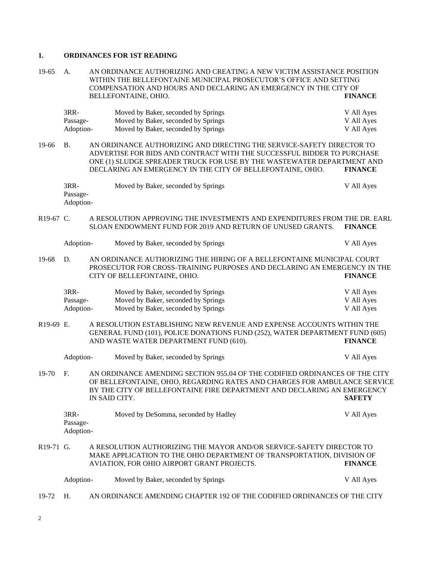## **1. ORDINANCES FOR 1ST READING**

| 19-65     | AN ORDINANCE AUTHORIZING AND CREATING A NEW VICTIM ASSISTANCE POSITION<br>A.<br>WITHIN THE BELLEFONTAINE MUNICIPAL PROSECUTOR'S OFFICE AND SETTING<br>COMPENSATION AND HOURS AND DECLARING AN EMERGENCY IN THE CITY OF                                                                               |                                                                          |                                                                                                                                                                                                 |                                        |  |
|-----------|------------------------------------------------------------------------------------------------------------------------------------------------------------------------------------------------------------------------------------------------------------------------------------------------------|--------------------------------------------------------------------------|-------------------------------------------------------------------------------------------------------------------------------------------------------------------------------------------------|----------------------------------------|--|
|           | BELLEFONTAINE, OHIO.                                                                                                                                                                                                                                                                                 |                                                                          |                                                                                                                                                                                                 | <b>FINANCE</b>                         |  |
|           | 3RR-<br>Passage-<br>Adoption-                                                                                                                                                                                                                                                                        |                                                                          | Moved by Baker, seconded by Springs<br>Moved by Baker, seconded by Springs<br>Moved by Baker, seconded by Springs                                                                               | V All Ayes<br>V All Ayes<br>V All Ayes |  |
| 19-66     | <b>B.</b><br>AN ORDINANCE AUTHORIZING AND DIRECTING THE SERVICE-SAFETY DIRECTOR TO<br>ADVERTISE FOR BIDS AND CONTRACT WITH THE SUCCESSFUL BIDDER TO PURCHASE<br>ONE (1) SLUDGE SPREADER TRUCK FOR USE BY THE WASTEWATER DEPARTMENT AND<br>DECLARING AN EMERGENCY IN THE CITY OF BELLEFONTAINE, OHIO. |                                                                          | <b>FINANCE</b>                                                                                                                                                                                  |                                        |  |
|           | 3RR-<br>Passage-<br>Adoption-                                                                                                                                                                                                                                                                        |                                                                          | Moved by Baker, seconded by Springs                                                                                                                                                             | V All Ayes                             |  |
| R19-67 C. |                                                                                                                                                                                                                                                                                                      |                                                                          | A RESOLUTION APPROVING THE INVESTMENTS AND EXPENDITURES FROM THE DR. EARL<br>SLOAN ENDOWMENT FUND FOR 2019 AND RETURN OF UNUSED GRANTS.                                                         | <b>FINANCE</b>                         |  |
|           | Adoption-                                                                                                                                                                                                                                                                                            |                                                                          | Moved by Baker, seconded by Springs                                                                                                                                                             | V All Ayes                             |  |
| 19-68     | D.                                                                                                                                                                                                                                                                                                   |                                                                          | AN ORDINANCE AUTHORIZING THE HIRING OF A BELLEFONTAINE MUNICIPAL COURT<br>PROSECUTOR FOR CROSS-TRAINING PURPOSES AND DECLARING AN EMERGENCY IN THE<br>CITY OF BELLEFONTAINE, OHIO.              | <b>FINANCE</b>                         |  |
|           | 3RR-<br>Passage-<br>Adoption-                                                                                                                                                                                                                                                                        |                                                                          | Moved by Baker, seconded by Springs<br>Moved by Baker, seconded by Springs<br>Moved by Baker, seconded by Springs                                                                               | V All Ayes<br>V All Ayes<br>V All Ayes |  |
| R19-69 E. |                                                                                                                                                                                                                                                                                                      |                                                                          | A RESOLUTION ESTABLISHING NEW REVENUE AND EXPENSE ACCOUNTS WITHIN THE<br>GENERAL FUND (101), POLICE DONATIONS FUND (252), WATER DEPARTMENT FUND (605)<br>AND WASTE WATER DEPARTMENT FUND (610). | <b>FINANCE</b>                         |  |
|           | Adoption-                                                                                                                                                                                                                                                                                            |                                                                          | Moved by Baker, seconded by Springs                                                                                                                                                             | V All Ayes                             |  |
| 19-70     | F.<br>AN ORDINANCE AMENDING SECTION 955.04 OF THE CODIFIED ORDINANCES OF THE CITY<br>OF BELLEFONTAINE, OHIO, REGARDING RATES AND CHARGES FOR AMBULANCE SERVICE<br>BY THE CITY OF BELLEFONTAINE FIRE DEPARTMENT AND DECLARING AN EMERGENCY<br>IN SAID CITY.<br><b>SAFETY</b>                          |                                                                          |                                                                                                                                                                                                 |                                        |  |
|           | 3RR-<br>Passage-<br>Adoption-                                                                                                                                                                                                                                                                        |                                                                          | Moved by DeSomma, seconded by Hadley                                                                                                                                                            | V All Ayes                             |  |
| R19-71 G. |                                                                                                                                                                                                                                                                                                      |                                                                          | A RESOLUTION AUTHORIZING THE MAYOR AND/OR SERVICE-SAFETY DIRECTOR TO<br>MAKE APPLICATION TO THE OHIO DEPARTMENT OF TRANSPORTATION, DIVISION OF<br>AVIATION, FOR OHIO AIRPORT GRANT PROJECTS.    | <b>FINANCE</b>                         |  |
|           | Adoption-                                                                                                                                                                                                                                                                                            |                                                                          | Moved by Baker, seconded by Springs                                                                                                                                                             | V All Ayes                             |  |
| 19-72     | Η.                                                                                                                                                                                                                                                                                                   | AN ORDINANCE AMENDING CHAPTER 192 OF THE CODIFIED ORDINANCES OF THE CITY |                                                                                                                                                                                                 |                                        |  |